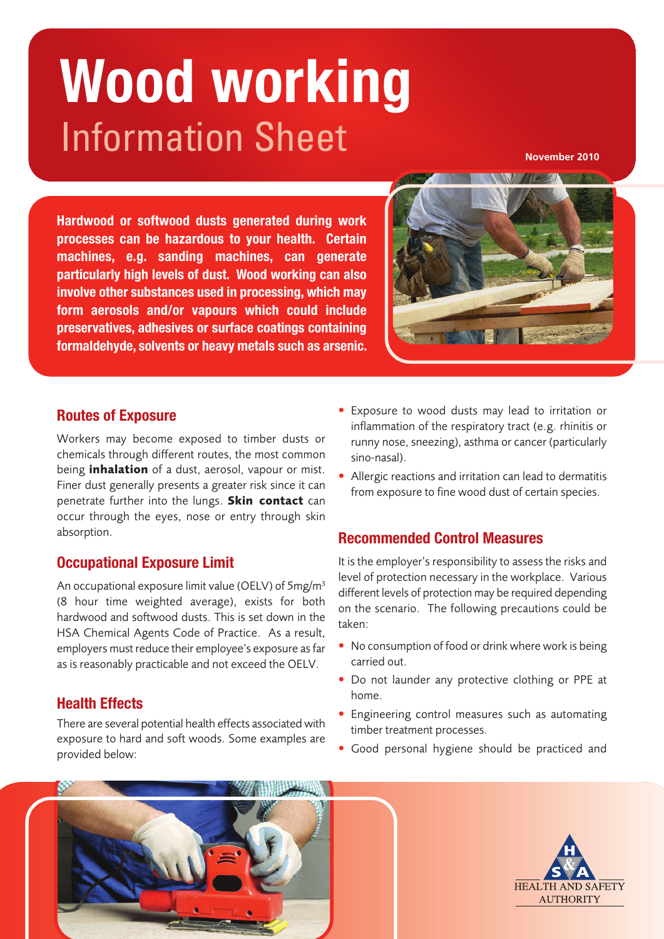# Information Sheet **Wood working**

**November 2010**

**Hardwood or softwood dusts generated during work processes can be hazardous to your health. Certain machines, e.g. sanding machines, can generate particularly high levels of dust. Wood working can also involve other substances used in processing, which may form aerosols and/or vapours which could include preservatives, adhesives or surface coatings containing formaldehyde, solvents or heavy metals such as arsenic.**



## **Routes of Exposure**

**Workers may become exposed to timber dusts or chemicals through different routes, the most common being inhalation of a dust, aerosol, vapour or mist. Finer dust generally presents a greater risk since it can penetrate further into the lungs. Skin contact can occur through the eyes, nose or entry through skin absorption.**

# **Occupational Exposure Limit**

**An occupational exposure limit value (OELV) of 5mg/m3 (8 hour time weighted average), exists for both hardwood and softwood dusts. This is set down in the HSA Chemical Agents Code of Practice. As a result, employers must reduce their employee's exposure asfar as is reasonably practicable and not exceed the OELV.**

# **Health Effects**

**There are several potential health effects associated with exposure to hard and soft woods. Some examples are provided below:**

- **• Exposure to wood dusts may lead to irritation or inflammation of the respiratory tract (e.g. rhinitis or runny nose, sneezing), asthma or cancer (particularly sino-nasal).**
- **• Allergic reactions and irritation can lead to dermatitis from exposure to fine wood dust of certain species.**

# **Recommended Control Measures**

**It is the employer's responsibility to assess the risks and level of protection necessary in the workplace. Various different levels of protection may be required depending on the scenario. The following precautions could be taken:**

- **• No consumption of food or drink where work is being carried out.**
- **• Do not launder any protective clothing or PPE at home.**
- **• Engineering control measures such as automating timber treatment processes.**
- **• Good personal hygiene should be practiced and**